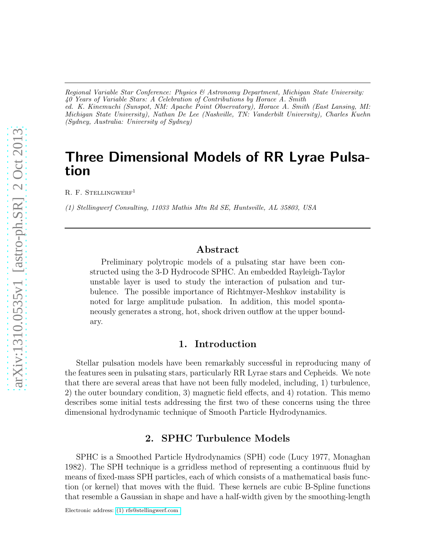*Regional Variable Star Conference: Physics & Astronomy Department, Michigan State University: 40 Years of Variable Stars: A Celebration of Contributions by Horace A. Smith ed. K. Kinemuchi (Sunspot, NM: Apache Point Observatory), Horace A. Smith (East Lansing, MI: Michigan State University), Nathan De Lee (Nashville, TN: Vanderbilt University), Charles Kuehn (Sydney, Australia: University of Sydney)*

# Three Dimensional Models of RR Lyrae Pulsation

R. F. STELLINGWERF<sup>1</sup>

*(1) Stellingwerf Consulting, 11033 Mathis Mtn Rd SE, Huntsville, AL 35803, USA*

## Abstract

Preliminary polytropic models of a pulsating star have been constructed using the 3-D Hydrocode SPHC. An embedded Rayleigh-Taylor unstable layer is used to study the interaction of pulsation and turbulence. The possible importance of Richtmyer-Meshkov instability is noted for large amplitude pulsation. In addition, this model spontaneously generates a strong, hot, shock driven outflow at the upper boundary.

## 1. Introduction

Stellar pulsation models have been remarkably successful in reproducing many of the features seen in pulsating stars, particularly RR Lyrae stars and Cepheids. We note that there are several areas that have not been fully modeled, including, 1) turbulence, 2) the outer boundary condition, 3) magnetic field effects, and 4) rotation. This memo describes some initial tests addressing the first two of these concerns using the three dimensional hydrodynamic technique of Smooth Particle Hydrodynamics.

## 2. SPHC Turbulence Models

SPHC is a Smoothed Particle Hydrodynamics (SPH) code (Lucy 1977, Monaghan 1982). The SPH technique is a grridless method of representing a continuous fluid by means of fixed-mass SPH particles, each of which consists of a mathematical basis function (or kernel) that moves with the fluid. These kernels are cubic B-Spline functions that resemble a Gaussian in shape and have a half-width given by the smoothing-length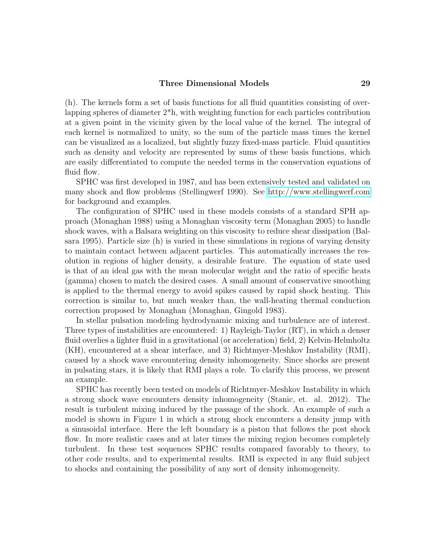#### Three Dimensional Models 29

(h). The kernels form a set of basis functions for all fluid quantities consisting of overlapping spheres of diameter 2\*h, with weighting function for each particles contribution at a given point in the vicinity given by the local value of the kernel. The integral of each kernel is normalized to unity, so the sum of the particle mass times the kernel can be visualized as a localized, but slightly fuzzy fixed-mass particle. Fluid quantities such as density and velocity are represented by sums of these basis functions, which are easily differentiated to compute the needed terms in the conservation equations of fluid flow.

SPHC was first developed in 1987, and has been extensively tested and validated on many shock and flow problems (Stellingwerf 1990). See<http://www.stellingwerf.com> for background and examples.

The configuration of SPHC used in these models consists of a standard SPH approach (Monaghan 1988) using a Monaghan viscosity term (Monaghan 2005) to handle shock waves, with a Balsara weighting on this viscosity to reduce shear dissipation (Balsara 1995). Particle size (h) is varied in these simulations in regions of varying density to maintain contact between adjacent particles. This automatically increases the resolution in regions of higher density, a desirable feature. The equation of state used is that of an ideal gas with the mean molecular weight and the ratio of specific heats (gamma) chosen to match the desired cases. A small amount of conservative smoothing is applied to the thermal energy to avoid spikes caused by rapid shock heating. This correction is similar to, but much weaker than, the wall-heating thermal conduction correction proposed by Monaghan (Monaghan, Gingold 1983).

In stellar pulsation modeling hydrodynamic mixing and turbulence are of interest. Three types of instabilities are encountered: 1) Rayleigh-Taylor (RT), in which a denser fluid overlies a lighter fluid in a gravitational (or acceleration) field, 2) Kelvin-Helmholtz (KH), encountered at a shear interface, and 3) Richtmyer-Meshkov Instability (RMI), caused by a shock wave encountering density inhomogeneity. Since shocks are present in pulsating stars, it is likely that RMI plays a role. To clarify this process, we present an example.

SPHC has recently been tested on models of Richtmyer-Meshkov Instability in which a strong shock wave encounters density inhomogeneity (Stanic, et. al. 2012). The result is turbulent mixing induced by the passage of the shock. An example of such a model is shown in Figure 1 in which a strong shock encounters a density jump with a sinusoidal interface. Here the left boundary is a piston that follows the post shock flow. In more realistic cases and at later times the mixing region becomes completely turbulent. In these test sequences SPHC results compared favorably to theory, to other code results, and to experimental results. RMI is expected in any fluid subject to shocks and containing the possibility of any sort of density inhomogeneity.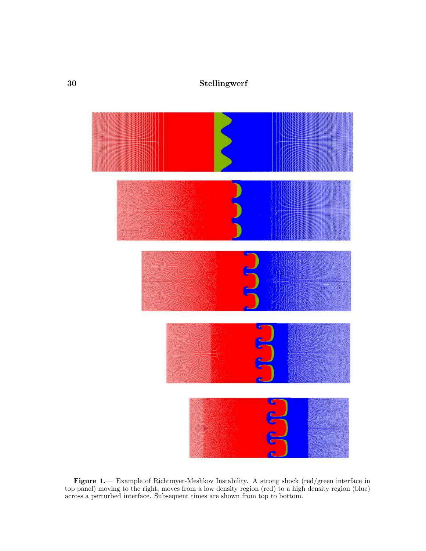# 30 Stellingwerf



Figure 1.— Example of Richtmyer-Meshkov Instability. A strong shock (red/green interface in top panel) moving to the right, moves from a low density region (red) to a high density region (blue) across a perturbed interface. Subsequent times are shown from top to bottom.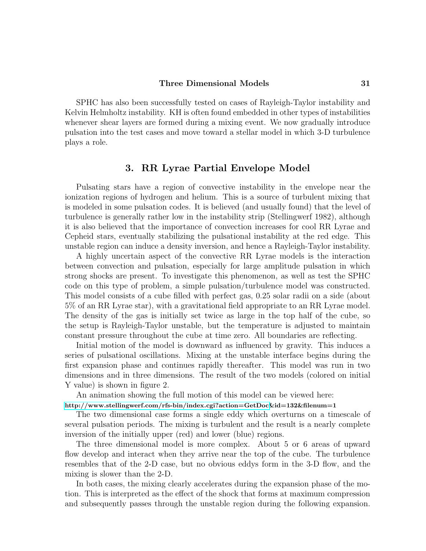#### Three Dimensional Models 31

SPHC has also been successfully tested on cases of Rayleigh-Taylor instability and Kelvin Helmholtz instability. KH is often found embedded in other types of instabilities whenever shear layers are formed during a mixing event. We now gradually introduce pulsation into the test cases and move toward a stellar model in which 3-D turbulence plays a role.

## 3. RR Lyrae Partial Envelope Model

Pulsating stars have a region of convective instability in the envelope near the ionization regions of hydrogen and helium. This is a source of turbulent mixing that is modeled in some pulsation codes. It is believed (and usually found) that the level of turbulence is generally rather low in the instability strip (Stellingwerf 1982), although it is also believed that the importance of convection increases for cool RR Lyrae and Cepheid stars, eventually stabilizing the pulsational instability at the red edge. This unstable region can induce a density inversion, and hence a Rayleigh-Taylor instability.

A highly uncertain aspect of the convective RR Lyrae models is the interaction between convection and pulsation, especially for large amplitude pulsation in which strong shocks are present. To investigate this phenomenon, as well as test the SPHC code on this type of problem, a simple pulsation/turbulence model was constructed. This model consists of a cube filled with perfect gas, 0.25 solar radii on a side (about 5% of an RR Lyrae star), with a gravitational field appropriate to an RR Lyrae model. The density of the gas is initially set twice as large in the top half of the cube, so the setup is Rayleigh-Taylor unstable, but the temperature is adjusted to maintain constant pressure throughout the cube at time zero. All boundaries are reflecting.

Initial motion of the model is downward as influenced by gravity. This induces a series of pulsational oscillations. Mixing at the unstable interface begins during the first expansion phase and continues rapidly thereafter. This model was run in two dimensions and in three dimensions. The result of the two models (colored on initial Y value) is shown in figure 2.

An animation showing the full motion of this model can be viewed here:

[http://www.stellingwerf.com/rfs-bin/index.cgi?action=GetDoc&](http://www.stellingwerf.com/rfs-bin/index.cgi?action=GetDoc)id=132&filenum=1

The two dimensional case forms a single eddy which overturns on a timescale of several pulsation periods. The mixing is turbulent and the result is a nearly complete inversion of the initially upper (red) and lower (blue) regions.

The three dimensional model is more complex. About 5 or 6 areas of upward flow develop and interact when they arrive near the top of the cube. The turbulence resembles that of the 2-D case, but no obvious eddys form in the 3-D flow, and the mixing is slower than the 2-D.

In both cases, the mixing clearly accelerates during the expansion phase of the motion. This is interpreted as the effect of the shock that forms at maximum compression and subsequently passes through the unstable region during the following expansion.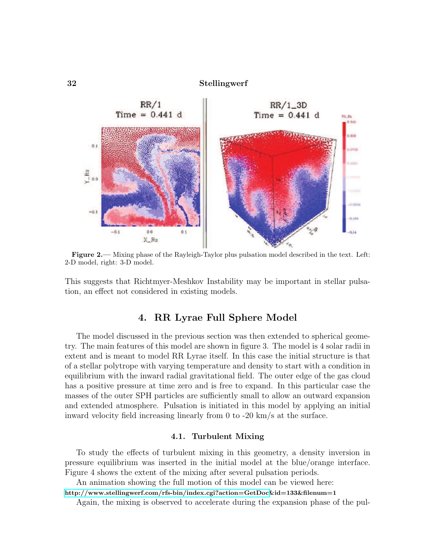

Figure 2.— Mixing phase of the Rayleigh-Taylor plus pulsation model described in the text. Left: 2-D model, right: 3-D model.

This suggests that Richtmyer-Meshkov Instability may be important in stellar pulsation, an effect not considered in existing models.

## 4. RR Lyrae Full Sphere Model

The model discussed in the previous section was then extended to spherical geometry. The main features of this model are shown in figure 3. The model is 4 solar radii in extent and is meant to model RR Lyrae itself. In this case the initial structure is that of a stellar polytrope with varying temperature and density to start with a condition in equilibrium with the inward radial gravitational field. The outer edge of the gas cloud has a positive pressure at time zero and is free to expand. In this particular case the masses of the outer SPH particles are sufficiently small to allow an outward expansion and extended atmosphere. Pulsation is initiated in this model by applying an initial inward velocity field increasing linearly from 0 to -20 km/s at the surface.

#### 4.1. Turbulent Mixing

To study the effects of turbulent mixing in this geometry, a density inversion in pressure equilibrium was inserted in the initial model at the blue/orange interface. Figure 4 shows the extent of the mixing after several pulsation periods.

An animation showing the full motion of this model can be viewed here:

[http://www.stellingwerf.com/rfs-bin/index.cgi?action=GetDoc&](http://www.stellingwerf.com/rfs-bin/index.cgi?action=GetDoc)id=133&filenum=1

Again, the mixing is observed to accelerate during the expansion phase of the pul-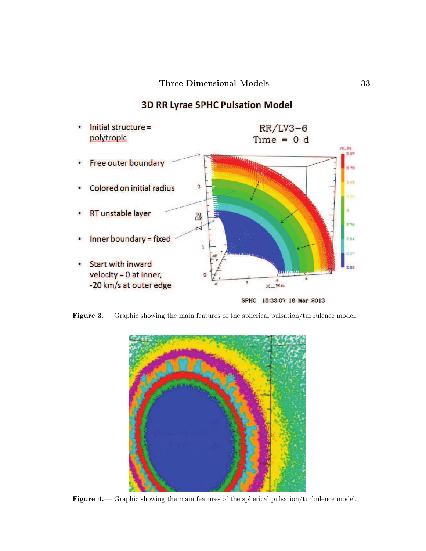

# **3D RR Lyrae SPHC Pulsation Model**

Figure 3.— Graphic showing the main features of the spherical pulsation/turbulence model.



Figure 4.— Graphic showing the main features of the spherical pulsation/turbulence model.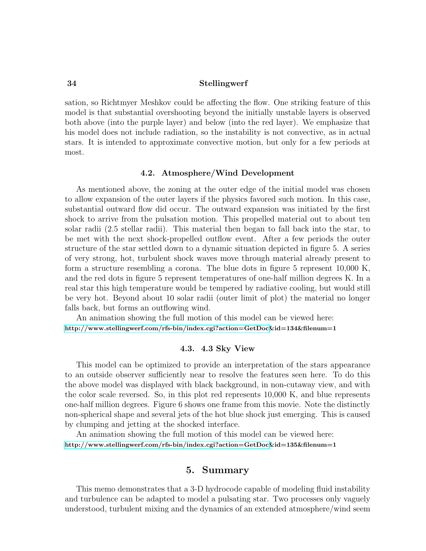#### 34 Stellingwerf

sation, so Richtmyer Meshkov could be affecting the flow. One striking feature of this model is that substantial overshooting beyond the initially unstable layers is observed both above (into the purple layer) and below (into the red layer). We emphasize that his model does not include radiation, so the instability is not convective, as in actual stars. It is intended to approximate convective motion, but only for a few periods at most.

#### 4.2. Atmosphere/Wind Development

As mentioned above, the zoning at the outer edge of the initial model was chosen to allow expansion of the outer layers if the physics favored such motion. In this case, substantial outward flow did occur. The outward expansion was initiated by the first shock to arrive from the pulsation motion. This propelled material out to about ten solar radii (2.5 stellar radii). This material then began to fall back into the star, to be met with the next shock-propelled outflow event. After a few periods the outer structure of the star settled down to a dynamic situation depicted in figure 5. A series of very strong, hot, turbulent shock waves move through material already present to form a structure resembling a corona. The blue dots in figure 5 represent 10,000 K, and the red dots in figure 5 represent temperatures of one-half million degrees K. In a real star this high temperature would be tempered by radiative cooling, but would still be very hot. Beyond about 10 solar radii (outer limit of plot) the material no longer falls back, but forms an outflowing wind.

An animation showing the full motion of this model can be viewed here: [http://www.stellingwerf.com/rfs-bin/index.cgi?action=GetDoc&](http://www.stellingwerf.com/rfs-bin/index.cgi?action=GetDoc)id=134&filenum=1

### 4.3. 4.3 Sky View

This model can be optimized to provide an interpretation of the stars appearance to an outside observer sufficiently near to resolve the features seen here. To do this the above model was displayed with black background, in non-cutaway view, and with the color scale reversed. So, in this plot red represents 10,000 K, and blue represents one-half million degrees. Figure 6 shows one frame from this movie. Note the distinctly non-spherical shape and several jets of the hot blue shock just emerging. This is caused by clumping and jetting at the shocked interface.

An animation showing the full motion of this model can be viewed here: [http://www.stellingwerf.com/rfs-bin/index.cgi?action=GetDoc&](http://www.stellingwerf.com/rfs-bin/index.cgi?action=GetDoc)id=135&filenum=1

## 5. Summary

This memo demonstrates that a 3-D hydrocode capable of modeling fluid instability and turbulence can be adapted to model a pulsating star. Two processes only vaguely understood, turbulent mixing and the dynamics of an extended atmosphere/wind seem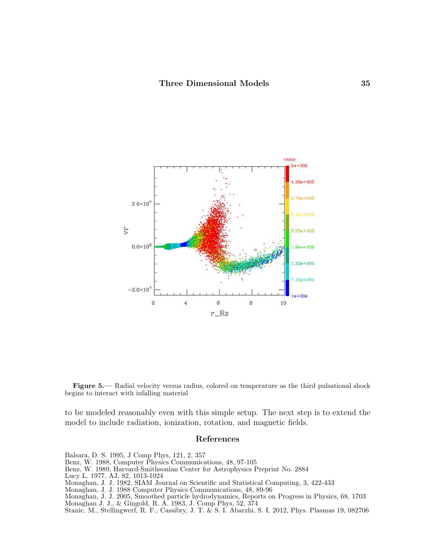

Figure 5.— Radial velocity versus radius, colored on temperature as the third pulsational shock begins to interact with infalling material

to be modeled reasonably even with this simple setup. The next step is to extend the model to include radiation, ionization, rotation, and magnetic fields.

#### References

Balsara, D. S. 1995, J Comp Phys, 121, 2, 357

Benz, W. 1988, Computer Physics Communications, 48, 97-105

Benz, W. 1989, Harvard-Smithsonian Center for Astrophysics Preprint No. 2884

- Lucy L. 1977, AJ, 82, 1013-1024
- Monaghan, J. J. 1982, SIAM Journal on Scientific and Statistical Computing, 3, 422-433

Monaghan, J. J. 1988 Computer Physics Communications, 48, 89-96

Monaghan, J. J. 2005, Smoothed particle hydrodynamics, Reports on Progress in Physics, 68, 1703 Monaghan J. J., & Gingold, R. A. 1983, J. Comp Phys, 52, 374

Stanic, M., Stellingwerf, R. F., Cassibry, J. T. & S. I. Abarzhi, S. I. 2012, Phys. Plasmas 19, 082706